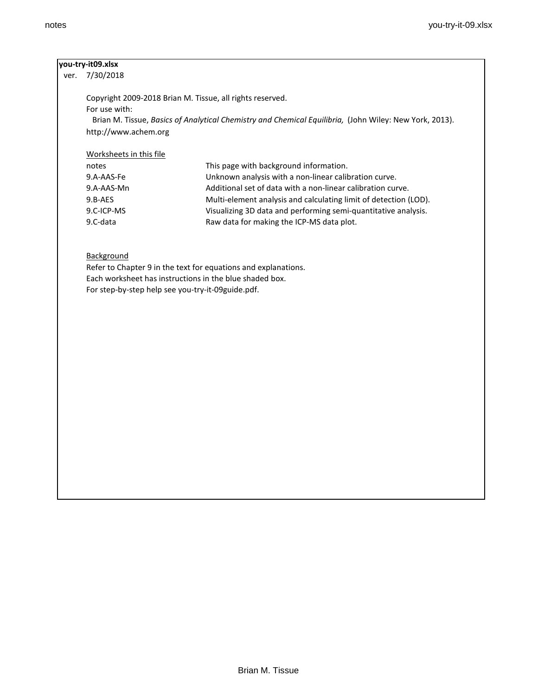### **you-try-it09.xlsx**

ver. 7/30/2018

Copyright 2009-2018 Brian M. Tissue, all rights reserved. For use with: Brian M. Tissue, *Basics of Analytical Chemistry and Chemical Equilibria,* (John Wiley: New York, 2013). http://www.achem.org

#### Worksheets in this file

| notes      | This page with background information.                           |
|------------|------------------------------------------------------------------|
| 9.A-AAS-Fe | Unknown analysis with a non-linear calibration curve.            |
| 9.A-AAS-Mn | Additional set of data with a non-linear calibration curve.      |
| 9.B-AES    | Multi-element analysis and calculating limit of detection (LOD). |
| 9.C-ICP-MS | Visualizing 3D data and performing semi-quantitative analysis.   |
| 9.C-data   | Raw data for making the ICP-MS data plot.                        |
|            |                                                                  |

## **Background**

Refer to Chapter 9 in the text for equations and explanations. Each worksheet has instructions in the blue shaded box. For step-by-step help see you-try-it-09guide.pdf.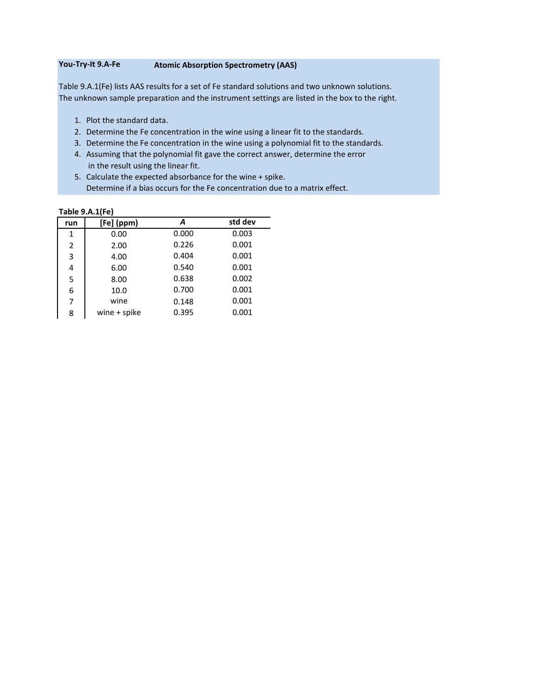### **You-Try-It 9.A-Fe Atomic Absorption Spectrometry (AAS)**

Table 9.A.1(Fe) lists AAS results for a set of Fe standard solutions and two unknown solutions. The unknown sample preparation and the instrument settings are listed in the box to the right.

- 1. Plot the standard data.
- 2. Determine the Fe concentration in the wine using a linear fit to the standards.
- 3. Determine the Fe concentration in the wine using a polynomial fit to the standards.
- 4. Assuming that the polynomial fit gave the correct answer, determine the error in the result using the linear fit.
- 5. Calculate the expected absorbance for the wine + spike. Determine if a bias occurs for the Fe concentration due to a matrix effect.

| run            | [Fe] (ppm)   | A     | std dev |
|----------------|--------------|-------|---------|
| $\mathbf{1}$   | 0.00         | 0.000 | 0.003   |
| $\overline{2}$ | 2.00         | 0.226 | 0.001   |
| 3              | 4.00         | 0.404 | 0.001   |
| 4              | 6.00         | 0.540 | 0.001   |
| 5              | 8.00         | 0.638 | 0.002   |
| 6              | 10.0         | 0.700 | 0.001   |
| 7              | wine         | 0.148 | 0.001   |
| 8              | wine + spike | 0.395 | 0.001   |
|                |              |       |         |

#### **Table 9.A.1(Fe)**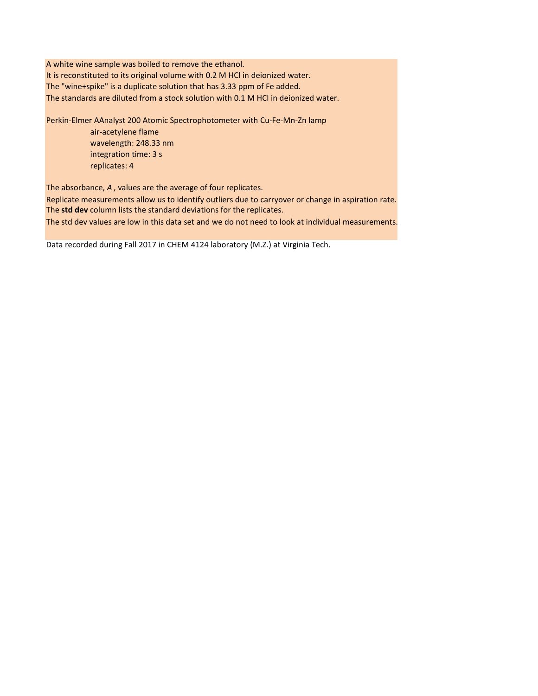A white wine sample was boiled to remove the ethanol. It is reconstituted to its original volume with 0.2 M HCl in deionized water. The "wine+spike" is a duplicate solution that has 3.33 ppm of Fe added. The standards are diluted from a stock solution with 0.1 M HCl in deionized water.

Perkin-Elmer AAnalyst 200 Atomic Spectrophotometer with Cu-Fe-Mn-Zn lamp

air-acetylene flame wavelength: 248.33 nm integration time: 3 s replicates: 4

The absorbance, *A* , values are the average of four replicates.

Replicate measurements allow us to identify outliers due to carryover or change in aspiration rate. The **std dev** column lists the standard deviations for the replicates.

The std dev values are low in this data set and we do not need to look at individual measurements.

Data recorded during Fall 2017 in CHEM 4124 laboratory (M.Z.) at Virginia Tech.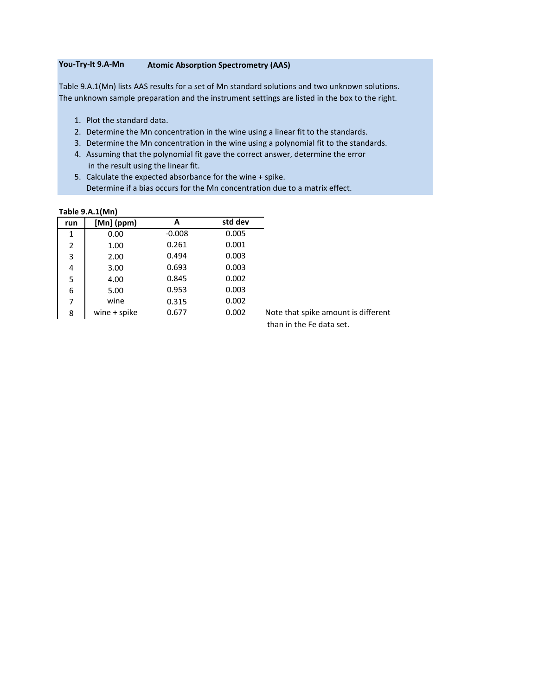# **You-Try-It 9.A-Mn Atomic Absorption Spectrometry (AAS)**

Table 9.A.1(Mn) lists AAS results for a set of Mn standard solutions and two unknown solutions. The unknown sample preparation and the instrument settings are listed in the box to the right.

- 1. Plot the standard data.
- 2. Determine the Mn concentration in the wine using a linear fit to the standards.
- 3. Determine the Mn concentration in the wine using a polynomial fit to the standards.
- 4. Assuming that the polynomial fit gave the correct answer, determine the error in the result using the linear fit.
- 5. Calculate the expected absorbance for the wine + spike. Determine if a bias occurs for the Mn concentration due to a matrix effect.

| run | $[Mn]$ (ppm)   | A        | std dev |
|-----|----------------|----------|---------|
| 1   | 0.00           | $-0.008$ | 0.005   |
| 2   | 1.00           | 0.261    | 0.001   |
| 3   | 2.00           | 0.494    | 0.003   |
| 4   | 3.00           | 0.693    | 0.003   |
| 5   | 4.00           | 0.845    | 0.002   |
| 6   | 5.00           | 0.953    | 0.003   |
| 7   | wine           | 0.315    | 0.002   |
| 8   | wine $+$ spike | 0.677    | 0.002   |

#### **Table 9.A.1(Mn)**

Note that spike amount is different than in the Fe data set.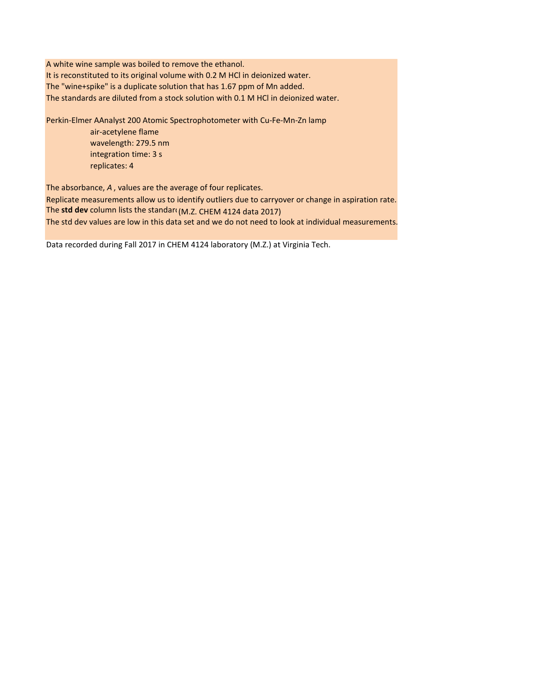A white wine sample was boiled to remove the ethanol. It is reconstituted to its original volume with 0.2 M HCl in deionized water. The "wine+spike" is a duplicate solution that has 1.67 ppm of Mn added. The standards are diluted from a stock solution with 0.1 M HCl in deionized water.

Perkin-Elmer AAnalyst 200 Atomic Spectrophotometer with Cu-Fe-Mn-Zn lamp

air-acetylene flame wavelength: 279.5 nm integration time: 3 s replicates: 4

The absorbance, *A* , values are the average of four replicates.

Replicate measurements allow us to identify outliers due to carryover or change in aspiration rate. The **std dev** column lists the standard (M.Z. CHEM 4124 data 2017)

The std dev values are low in this data set and we do not need to look at individual measurements.

Data recorded during Fall 2017 in CHEM 4124 laboratory (M.Z.) at Virginia Tech.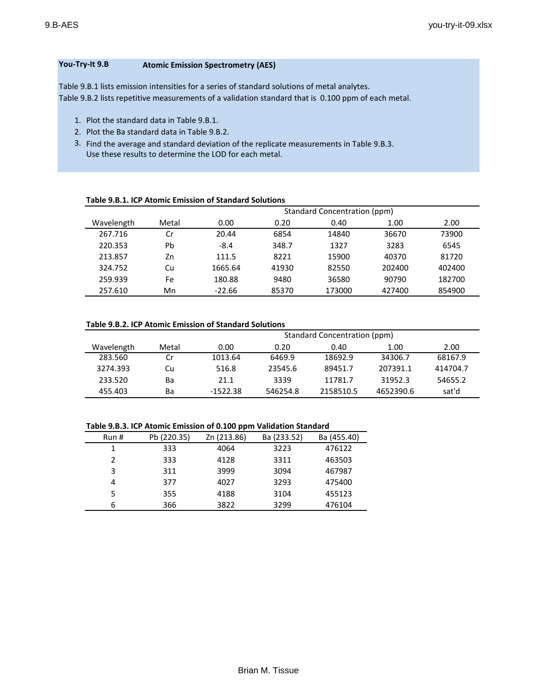## **You-Try-It 9.B Atomic Emission Spectrometry (AES)**

Table 9.B.1 lists emission intensities for a series of standard solutions of metal analytes. Table 9.B.2 lists repetitive measurements of a validation standard that is 0.100 ppm of each metal.

- 1. Plot the standard data in Table 9.B.1.
- 2. Plot the Ba standard data in Table 9.B.2.
- 3. Find the average and standard deviation of the replicate measurements in Table 9.B.3. Use these results to determine the LOD for each metal.

| Table 9.B.1. ICP Atomic Emission of Standard Solutions |  |
|--------------------------------------------------------|--|
|--------------------------------------------------------|--|

|            |       | Standard Concentration (ppm) |       |        |        |        |  |
|------------|-------|------------------------------|-------|--------|--------|--------|--|
| Wavelength | Metal | 0.00                         | 0.20  | 0.40   | 1.00   | 2.00   |  |
| 267.716    | Cr    | 20.44                        | 6854  | 14840  | 36670  | 73900  |  |
| 220.353    | Pb    | $-8.4$                       | 348.7 | 1327   | 3283   | 6545   |  |
| 213.857    | Zn    | 111.5                        | 8221  | 15900  | 40370  | 81720  |  |
| 324.752    | Cu    | 1665.64                      | 41930 | 82550  | 202400 | 402400 |  |
| 259.939    | Fe    | 180.88                       | 9480  | 36580  | 90790  | 182700 |  |
| 257.610    | Mn    | $-22.66$                     | 85370 | 173000 | 427400 | 854900 |  |

| Table 9.B.2. ICP Atomic Emission of Standard Solutions |  |
|--------------------------------------------------------|--|
|--------------------------------------------------------|--|

|            |       | Standard Concentration (ppm) |          |           |           |          |  |  |
|------------|-------|------------------------------|----------|-----------|-----------|----------|--|--|
| Wavelength | Metal | 0.00                         | 0.20     | 0.40      | 1.00      | 2.00     |  |  |
| 283.560    | Cr.   | 1013.64                      | 6469.9   | 18692.9   | 34306.7   | 68167.9  |  |  |
| 3274.393   | Cu.   | 516.8                        | 23545.6  | 89451.7   | 207391.1  | 414704.7 |  |  |
| 233.520    | Ba    | 21.1                         | 3339     | 11781.7   | 31952.3   | 54655.2  |  |  |
| 455.403    | Вa    | $-1522.38$                   | 546254.8 | 2158510.5 | 4652390.6 | sat'd    |  |  |

#### **Table 9.B.3. ICP Atomic Emission of 0.100 ppm Validation Standard**

| Run # | Pb (220.35) | Zn (213.86) | Ba (233.52) | Ba (455.40) |
|-------|-------------|-------------|-------------|-------------|
| 1     | 333         | 4064        | 3223        | 476122      |
| າ     | 333         | 4128        | 3311        | 463503      |
| 3     | 311         | 3999        | 3094        | 467987      |
| 4     | 377         | 4027        | 3293        | 475400      |
| 5     | 355         | 4188        | 3104        | 455123      |
| 6     | 366         | 3822        | 3299        | 476104      |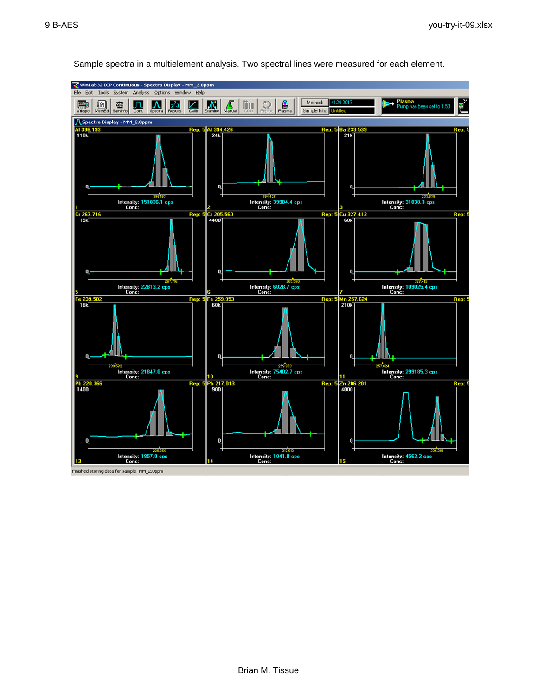

Sample spectra in a multielement analysis. Two spectral lines were measured for each element.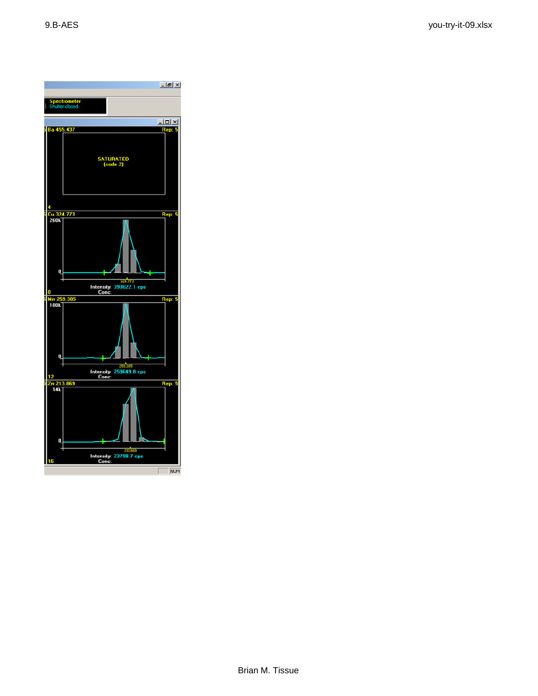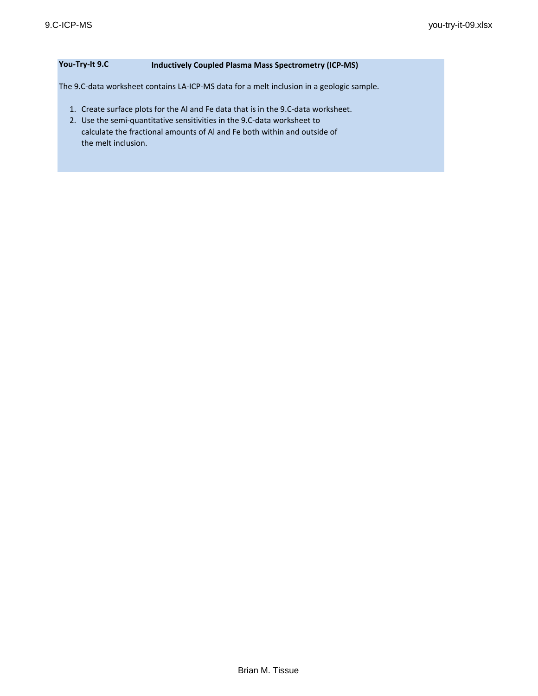# **You-Try-It 9.C Inductively Coupled Plasma Mass Spectrometry (ICP-MS)**

The 9.C-data worksheet contains LA-ICP-MS data for a melt inclusion in a geologic sample.

- 1. Create surface plots for the Al and Fe data that is in the 9.C-data worksheet.
- 2. Use the semi-quantitative sensitivities in the 9.C-data worksheet to calculate the fractional amounts of Al and Fe both within and outside of the melt inclusion.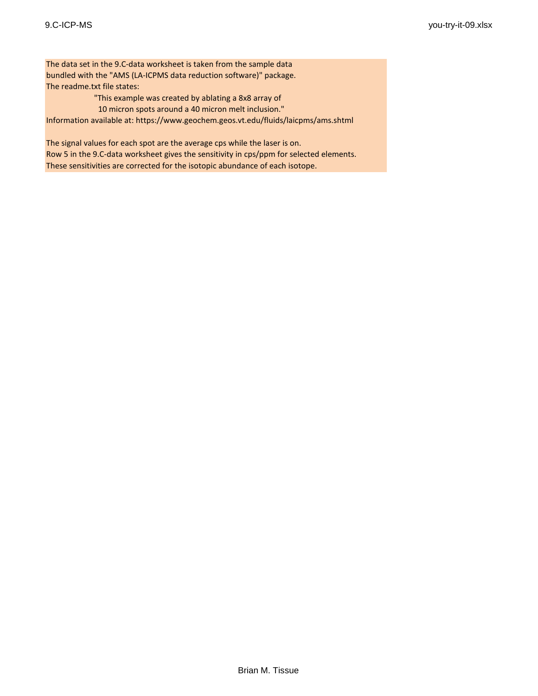The data set in the 9.C-data worksheet is taken from the sample data bundled with the "AMS (LA-ICPMS data reduction software)" package. The readme.txt file states:

"This example was created by ablating a 8x8 array of

 10 micron spots around a 40 micron melt inclusion." Information available at: https://www.geochem.geos.vt.edu/fluids/laicpms/ams.shtml

The signal values for each spot are the average cps while the laser is on. Row 5 in the 9.C-data worksheet gives the sensitivity in cps/ppm for selected elements. These sensitivities are corrected for the isotopic abundance of each isotope.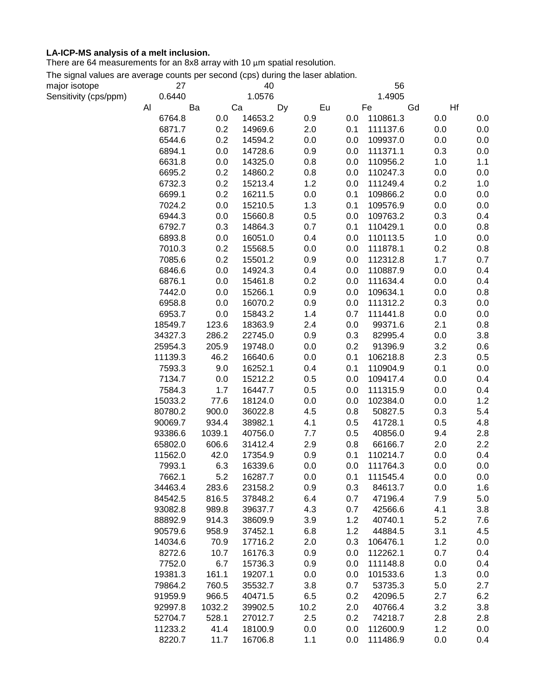# **LA-ICP-MS analysis of a melt inclusion.**

There are 64 measurements for an 8x8 array with 10 µm spatial resolution.

The signal values are average counts per second (cps) during the laser ablation.

| major isotope         | 27      |        | 40      |      |     | 56       |     |     |
|-----------------------|---------|--------|---------|------|-----|----------|-----|-----|
| Sensitivity (cps/ppm) | 0.6440  |        | 1.0576  |      |     | 1.4905   |     |     |
|                       | Al      | Ba     | Ca      | Dy   | Eu  | Fe       | Gd  | Hf  |
|                       | 6764.8  | 0.0    | 14653.2 | 0.9  | 0.0 | 110861.3 | 0.0 | 0.0 |
|                       | 6871.7  | 0.2    | 14969.6 | 2.0  | 0.1 | 111137.6 | 0.0 | 0.0 |
|                       | 6544.6  | 0.2    | 14594.2 | 0.0  | 0.0 | 109937.0 | 0.0 | 0.0 |
|                       | 6894.1  | 0.0    | 14728.6 | 0.9  | 0.0 | 111371.1 | 0.3 | 0.0 |
|                       | 6631.8  | 0.0    | 14325.0 | 0.8  | 0.0 | 110956.2 | 1.0 | 1.1 |
|                       | 6695.2  | 0.2    | 14860.2 | 0.8  | 0.0 | 110247.3 | 0.0 | 0.0 |
|                       | 6732.3  | 0.2    | 15213.4 | 1.2  | 0.0 | 111249.4 | 0.2 | 1.0 |
|                       | 6699.1  | 0.2    | 16211.5 | 0.0  | 0.1 | 109866.2 | 0.0 | 0.0 |
|                       | 7024.2  | 0.0    | 15210.5 | 1.3  | 0.1 | 109576.9 | 0.0 | 0.0 |
|                       | 6944.3  | 0.0    | 15660.8 | 0.5  | 0.0 | 109763.2 | 0.3 | 0.4 |
|                       | 6792.7  | 0.3    | 14864.3 | 0.7  | 0.1 | 110429.1 | 0.0 | 0.8 |
|                       | 6893.8  | 0.0    | 16051.0 | 0.4  | 0.0 | 110113.5 | 1.0 | 0.0 |
|                       | 7010.3  | 0.2    | 15568.5 | 0.0  | 0.0 | 111878.1 | 0.2 | 0.8 |
|                       | 7085.6  | 0.2    | 15501.2 | 0.9  | 0.0 | 112312.8 | 1.7 | 0.7 |
|                       | 6846.6  | 0.0    | 14924.3 | 0.4  | 0.0 | 110887.9 | 0.0 | 0.4 |
|                       | 6876.1  | 0.0    | 15461.8 | 0.2  | 0.0 | 111634.4 | 0.0 | 0.4 |
|                       | 7442.0  | 0.0    | 15266.1 | 0.9  | 0.0 | 109634.1 | 0.0 | 0.8 |
|                       | 6958.8  | 0.0    | 16070.2 | 0.9  | 0.0 | 111312.2 | 0.3 | 0.0 |
|                       | 6953.7  | 0.0    | 15843.2 | 1.4  | 0.7 | 111441.8 | 0.0 | 0.0 |
|                       | 18549.7 | 123.6  | 18363.9 | 2.4  | 0.0 | 99371.6  | 2.1 | 0.8 |
|                       | 34327.3 | 286.2  | 22745.0 | 0.9  | 0.3 | 82995.4  | 0.0 | 3.8 |
|                       | 25954.3 | 205.9  | 19748.0 | 0.0  | 0.2 | 91396.9  | 3.2 | 0.6 |
|                       | 11139.3 | 46.2   | 16640.6 | 0.0  | 0.1 | 106218.8 | 2.3 | 0.5 |
|                       | 7593.3  | 9.0    | 16252.1 | 0.4  | 0.1 | 110904.9 | 0.1 | 0.0 |
|                       | 7134.7  | 0.0    | 15212.2 | 0.5  | 0.0 | 109417.4 | 0.0 | 0.4 |
|                       | 7584.3  | 1.7    | 16447.7 | 0.5  | 0.0 | 111315.9 | 0.0 | 0.4 |
|                       | 15033.2 | 77.6   | 18124.0 | 0.0  | 0.0 | 102384.0 | 0.0 | 1.2 |
|                       | 80780.2 | 900.0  | 36022.8 | 4.5  | 0.8 | 50827.5  | 0.3 | 5.4 |
|                       | 90069.7 | 934.4  | 38982.1 | 4.1  | 0.5 | 41728.1  | 0.5 | 4.8 |
|                       | 93386.6 | 1039.1 | 40756.0 | 7.7  | 0.5 | 40856.0  | 9.4 | 2.8 |
|                       | 65802.0 | 606.6  | 31412.4 | 2.9  | 0.8 | 66166.7  | 2.0 | 2.2 |
|                       | 11562.0 | 42.0   | 17354.9 | 0.9  | 0.1 | 110214.7 | 0.0 | 0.4 |
|                       | 7993.1  | 6.3    | 16339.6 | 0.0  | 0.0 | 111764.3 | 0.0 | 0.0 |
|                       | 7662.1  | 5.2    | 16287.7 | 0.0  | 0.1 | 111545.4 | 0.0 | 0.0 |
|                       | 34463.4 | 283.6  | 23158.2 | 0.9  | 0.3 | 84613.7  | 0.0 | 1.6 |
|                       | 84542.5 | 816.5  | 37848.2 | 6.4  | 0.7 | 47196.4  | 7.9 | 5.0 |
|                       | 93082.8 | 989.8  | 39637.7 | 4.3  | 0.7 | 42566.6  | 4.1 | 3.8 |
|                       | 88892.9 | 914.3  | 38609.9 | 3.9  | 1.2 | 40740.1  | 5.2 | 7.6 |
|                       | 90579.6 | 958.9  | 37452.1 | 6.8  | 1.2 | 44884.5  | 3.1 | 4.5 |
|                       | 14034.6 | 70.9   | 17716.2 | 2.0  | 0.3 | 106476.1 | 1.2 | 0.0 |
|                       | 8272.6  | 10.7   | 16176.3 | 0.9  | 0.0 | 112262.1 | 0.7 | 0.4 |
|                       | 7752.0  | 6.7    | 15736.3 | 0.9  | 0.0 | 111148.8 | 0.0 | 0.4 |
|                       | 19381.3 | 161.1  | 19207.1 | 0.0  | 0.0 | 101533.6 | 1.3 | 0.0 |
|                       | 79864.2 | 760.5  | 35532.7 | 3.8  | 0.7 | 53735.3  | 5.0 | 2.7 |
|                       | 91959.9 | 966.5  | 40471.5 | 6.5  | 0.2 | 42096.5  | 2.7 | 6.2 |
|                       | 92997.8 | 1032.2 | 39902.5 | 10.2 | 2.0 | 40766.4  | 3.2 | 3.8 |
|                       | 52704.7 | 528.1  | 27012.7 | 2.5  | 0.2 | 74218.7  | 2.8 | 2.8 |
|                       | 11233.2 | 41.4   | 18100.9 | 0.0  | 0.0 | 112600.9 | 1.2 | 0.0 |
|                       | 8220.7  | 11.7   | 16706.8 | 1.1  | 0.0 | 111486.9 | 0.0 | 0.4 |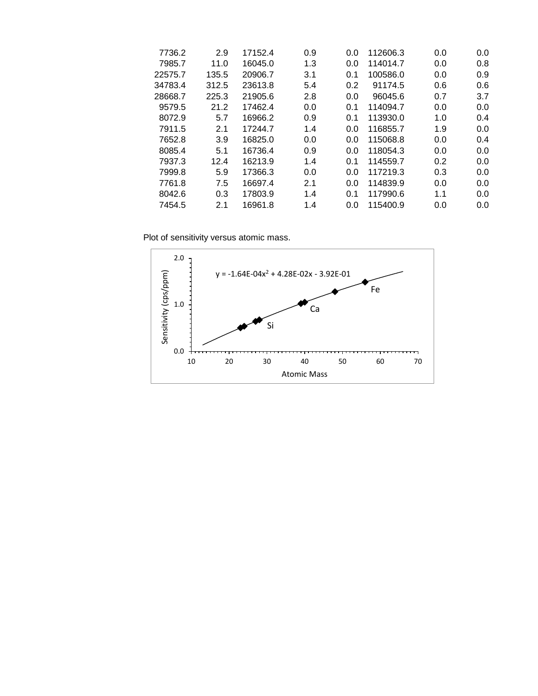| 7736.2  | 2.9   | 17152.4 | 0.9 | 0.0 | 112606.3 | 0.0 | 0.0 |
|---------|-------|---------|-----|-----|----------|-----|-----|
| 7985.7  | 11.0  | 16045.0 | 1.3 | 0.0 | 114014.7 | 0.0 | 0.8 |
| 22575.7 | 135.5 | 20906.7 | 3.1 | 0.1 | 100586.0 | 0.0 | 0.9 |
| 34783.4 | 312.5 | 23613.8 | 5.4 | 0.2 | 91174.5  | 0.6 | 0.6 |
| 28668.7 | 225.3 | 21905.6 | 2.8 | 0.0 | 96045.6  | 0.7 | 3.7 |
| 9579.5  | 21.2  | 17462.4 | 0.0 | 0.1 | 114094.7 | 0.0 | 0.0 |
| 8072.9  | 5.7   | 16966.2 | 0.9 | 0.1 | 113930.0 | 1.0 | 0.4 |
| 7911.5  | 2.1   | 17244.7 | 1.4 | 0.0 | 116855.7 | 1.9 | 0.0 |
| 7652.8  | 3.9   | 16825.0 | 0.0 | 0.0 | 115068.8 | 0.0 | 0.4 |
| 8085.4  | 5.1   | 16736.4 | 0.9 | 0.0 | 118054.3 | 0.0 | 0.0 |
| 7937.3  | 12.4  | 16213.9 | 1.4 | 0.1 | 114559.7 | 0.2 | 0.0 |
| 7999.8  | 5.9   | 17366.3 | 0.0 | 0.0 | 117219.3 | 0.3 | 0.0 |
| 7761.8  | 7.5   | 16697.4 | 2.1 | 0.0 | 114839.9 | 0.0 | 0.0 |
| 8042.6  | 0.3   | 17803.9 | 1.4 | 0.1 | 117990.6 | 1.1 | 0.0 |
| 7454.5  | 2.1   | 16961.8 | 1.4 | 0.0 | 115400.9 | 0.0 | 0.0 |
|         |       |         |     |     |          |     |     |

Plot of sensitivity versus atomic mass.

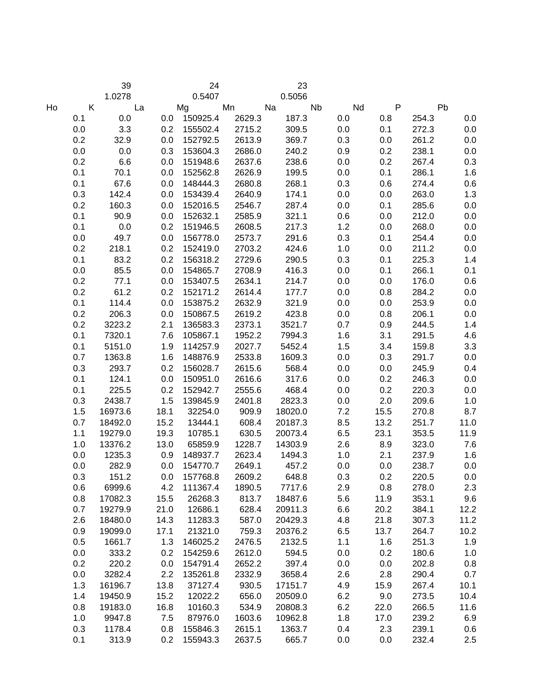|    |              | 39        |      | $\overline{24}$ |        | 23        |     |                           |              |      |
|----|--------------|-----------|------|-----------------|--------|-----------|-----|---------------------------|--------------|------|
|    |              | 1.0278    |      | 0.5407          |        | 0.5056    |     |                           |              |      |
| Ho | $\mathsf{K}$ | <b>La</b> | Mg   |                 | Mn Na  | <b>ND</b> |     | $\mathsf{P}$<br><b>Nd</b> |              | Pb   |
|    | 0.1          | 0.0       |      | 0.0 150925.4    | 2629.3 | 187.3     | 0.0 | 0.8                       | 254.3        | 0.0  |
|    | 0.0          | 3.3       | 0.2  | 155502.4        | 2715.2 | 309.5     | 0.0 | 0.1                       | 272.3        | 0.0  |
|    | 0.2          | 32.9      | 0.0  | 152792.5        | 2613.9 | 369.7     | 0.3 | 0.0                       | 261.2        | 0.0  |
|    | 0.0          | 0.0       | 0.3  | 153604.3        | 2686.0 | 240.2     | 0.9 | 0.2                       | 238.1        | 0.0  |
|    | 0.2          | 6.6       | 0.0  | 151948.6        | 2637.6 | 238.6     | 0.0 | 0.2                       | 267.4        | 0.3  |
|    | 0.1          | 70.1      | 0.0  | 152562.8        | 2626.9 | 199.5     | 0.0 | 0.1                       | 286.1        | 1.6  |
|    | 0.1          | 67.6      | 0.0  | 148444.3        | 2680.8 | 268.1     | 0.3 | 0.6                       | 274.4        | 0.6  |
|    | 0.3          | 142.4     | 0.0  | 153439.4        | 2640.9 | 174.1     | 0.0 | 0.0                       | 263.0        | 1.3  |
|    | 0.2          | 160.3     | 0.0  | 152016.5        | 2546.7 | 287.4     | 0.0 | 0.1                       | 285.6        | 0.0  |
|    | 0.1          | 90.9      | 0.0  | 152632.1        | 2585.9 | 321.1     | 0.6 | 0.0                       | 212.0        | 0.0  |
|    | 0.1          | 0.0       | 0.2  | 151946.5        | 2608.5 | 217.3     | 1.2 | 0.0                       | 268.0        | 0.0  |
|    | 0.0          | 49.7      | 0.0  | 156778.0        | 2573.7 | 291.6     | 0.3 | 0.1                       | 254.4        | 0.0  |
|    | 0.2          | 218.1     | 0.2  | 152419.0        | 2703.2 | 424.6     | 1.0 | 0.0                       | 211.2        | 0.0  |
|    | 0.1          | 83.2      | 0.2  | 156318.2        | 2729.6 | 290.5     | 0.3 | 0.1                       | 225.3        | 1.4  |
|    | 0.0          | 85.5      | 0.0  | 154865.7        | 2708.9 | 416.3     | 0.0 | 0.1                       | 266.1        | 0.1  |
|    | 0.2          | 77.1      | 0.0  | 153407.5        | 2634.1 | 214.7     | 0.0 | 0.0                       | 176.0        | 0.6  |
|    | 0.2          | 61.2      | 0.2  | 152171.2        | 2614.4 | 177.7     | 0.0 | 0.8                       | 284.2        | 0.0  |
|    | 0.1          | 114.4     | 0.0  | 153875.2        | 2632.9 | 321.9     | 0.0 | 0.0                       | 253.9        | 0.0  |
|    | 0.2          | 206.3     | 0.0  | 150867.5        | 2619.2 | 423.8     | 0.0 | 0.8                       | 206.1        | 0.0  |
|    | 0.2          | 3223.2    | 2.1  | 136583.3        | 2373.1 | 3521.7    | 0.7 | 0.9                       | 244.5        | 1.4  |
|    | 0.1          | 7320.1    | 7.6  | 105867.1        | 1952.2 | 7994.3    | 1.6 | 3.1                       | 291.5        | 4.6  |
|    | 0.1          | 5151.0    | 1.9  | 114257.9        | 2027.7 | 5452.4    | 1.5 | 3.4                       | 159.8        | 3.3  |
|    | 0.7          | 1363.8    | 1.6  | 148876.9        | 2533.8 | 1609.3    | 0.0 | 0.3                       | 291.7        | 0.0  |
|    | 0.3          | 293.7     | 0.2  | 156028.7        | 2615.6 | 568.4     | 0.0 | 0.0                       | 245.9        | 0.4  |
|    | 0.1          | 124.1     | 0.0  | 150951.0        | 2616.6 | 317.6     | 0.0 | 0.2                       | 246.3        | 0.0  |
|    | 0.1          | 225.5     | 0.2  | 152942.7        | 2555.6 | 468.4     | 0.0 | 0.2                       | 220.3        | 0.0  |
|    | 0.3          | 2438.7    | 1.5  | 139845.9        | 2401.8 | 2823.3    | 0.0 | 2.0                       | 209.6        | 1.0  |
|    | 1.5          | 16973.6   | 18.1 | 32254.0         | 909.9  | 18020.0   | 7.2 | 15.5                      | 270.8        | 8.7  |
|    | 0.7          | 18492.0   | 15.2 | 13444.1         | 608.4  | 20187.3   | 8.5 | 13.2                      | 251.7        | 11.0 |
|    | 1.1          | 19279.0   | 19.3 | 10785.1         | 630.5  | 20073.4   | 6.5 | 23.1                      | 353.5        | 11.9 |
|    | 1.0          | 13376.2   | 13.0 | 65859.9         | 1228.7 | 14303.9   | 2.6 | 8.9                       | 323.0        | 7.6  |
|    | 0.0          | 1235.3    | 0.9  | 148937.7        | 2623.4 | 1494.3    | 1.0 | 2.1                       | 237.9        | 1.6  |
|    | 0.0          | 282.9     | 0.0  | 154770.7        | 2649.1 | 457.2     | 0.0 | 0.0                       | 238.7        | 0.0  |
|    | 0.3          | 151.2     |      | 0.0 157768.8    | 2609.2 | 648.8     |     | 0.3                       | 0.2<br>220.5 | 0.0  |
|    | 0.6          | 6999.6    | 4.2  | 111367.4        | 1890.5 | 7717.6    | 2.9 | 0.8                       | 278.0        | 2.3  |
|    | 0.8          | 17082.3   | 15.5 | 26268.3         | 813.7  | 18487.6   | 5.6 | 11.9                      | 353.1        | 9.6  |
|    | 0.7          | 19279.9   | 21.0 | 12686.1         | 628.4  | 20911.3   | 6.6 | 20.2                      | 384.1        | 12.2 |
|    | 2.6          | 18480.0   | 14.3 | 11283.3         | 587.0  | 20429.3   | 4.8 | 21.8                      | 307.3        | 11.2 |
|    | 0.9          | 19099.0   | 17.1 | 21321.0         | 759.3  | 20376.2   | 6.5 | 13.7                      | 264.7        | 10.2 |
|    | 0.5          | 1661.7    | 1.3  | 146025.2        | 2476.5 | 2132.5    | 1.1 | 1.6                       | 251.3        | 1.9  |
|    | 0.0          | 333.2     | 0.2  | 154259.6        | 2612.0 | 594.5     | 0.0 | 0.2                       | 180.6        | 1.0  |
|    | 0.2          | 220.2     | 0.0  | 154791.4        | 2652.2 | 397.4     | 0.0 | 0.0                       | 202.8        | 0.8  |
|    | 0.0          | 3282.4    | 2.2  | 135261.8        | 2332.9 | 3658.4    | 2.6 | 2.8                       | 290.4        | 0.7  |
|    | 1.3          | 16196.7   | 13.8 | 37127.4         | 930.5  | 17151.7   | 4.9 | 15.9                      | 267.4        | 10.1 |
|    | 1.4          | 19450.9   | 15.2 | 12022.2         | 656.0  | 20509.0   | 6.2 | 9.0                       | 273.5        | 10.4 |
|    | 0.8          | 19183.0   | 16.8 | 10160.3         | 534.9  | 20808.3   | 6.2 | 22.0                      | 266.5        | 11.6 |
|    | 1.0          | 9947.8    | 7.5  | 87976.0         | 1603.6 | 10962.8   | 1.8 | 17.0                      | 239.2        | 6.9  |
|    | 0.3          | 1178.4    | 0.8  | 155846.3        | 2615.1 | 1363.7    | 0.4 | 2.3                       | 239.1        | 0.6  |
|    | 0.1          | 313.9     | 0.2  | 155943.3        | 2637.5 | 665.7     | 0.0 | 0.0                       | 232.4        | 2.5  |
|    |              |           |      |                 |        |           |     |                           |              |      |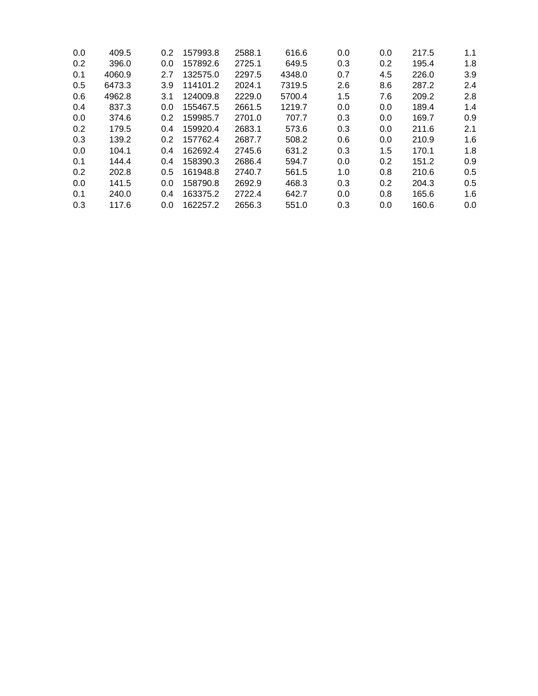| 409.5  | 0.2 | 157993.8 | 2588.1 | 616.6  | 0.0 | 0.0 | 217.5 | 1.1 |
|--------|-----|----------|--------|--------|-----|-----|-------|-----|
| 396.0  | 0.0 | 157892.6 | 2725.1 | 649.5  | 0.3 | 0.2 | 195.4 | 1.8 |
| 4060.9 | 2.7 | 132575.0 | 2297.5 | 4348.0 | 0.7 | 4.5 | 226.0 | 3.9 |
| 6473.3 | 3.9 | 114101.2 | 2024.1 | 7319.5 | 2.6 | 8.6 | 287.2 | 2.4 |
| 4962.8 | 3.1 | 124009.8 | 2229.0 | 5700.4 | 1.5 | 7.6 | 209.2 | 2.8 |
| 837.3  | 0.0 | 155467.5 | 2661.5 | 1219.7 | 0.0 | 0.0 | 189.4 | 1.4 |
| 374.6  | 0.2 | 159985.7 | 2701.0 | 707.7  | 0.3 | 0.0 | 169.7 | 0.9 |
| 179.5  | 0.4 | 159920.4 | 2683.1 | 573.6  | 0.3 | 0.0 | 211.6 | 2.1 |
| 139.2  | 0.2 | 157762.4 | 2687.7 | 508.2  | 0.6 | 0.0 | 210.9 | 1.6 |
| 104.1  | 0.4 | 162692.4 | 2745.6 | 631.2  | 0.3 | 1.5 | 170.1 | 1.8 |
| 144.4  | 0.4 | 158390.3 | 2686.4 | 594.7  | 0.0 | 0.2 | 151.2 | 0.9 |
| 202.8  | 0.5 | 161948.8 | 2740.7 | 561.5  | 1.0 | 0.8 | 210.6 | 0.5 |
| 141.5  | 0.0 | 158790.8 | 2692.9 | 468.3  | 0.3 | 0.2 | 204.3 | 0.5 |
| 240.0  | 0.4 | 163375.2 | 2722.4 | 642.7  | 0.0 | 0.8 | 165.6 | 1.6 |
| 117.6  | 0.0 | 162257.2 | 2656.3 | 551.0  | 0.3 | 0.0 | 160.6 | 0.0 |
|        |     |          |        |        |     |     |       |     |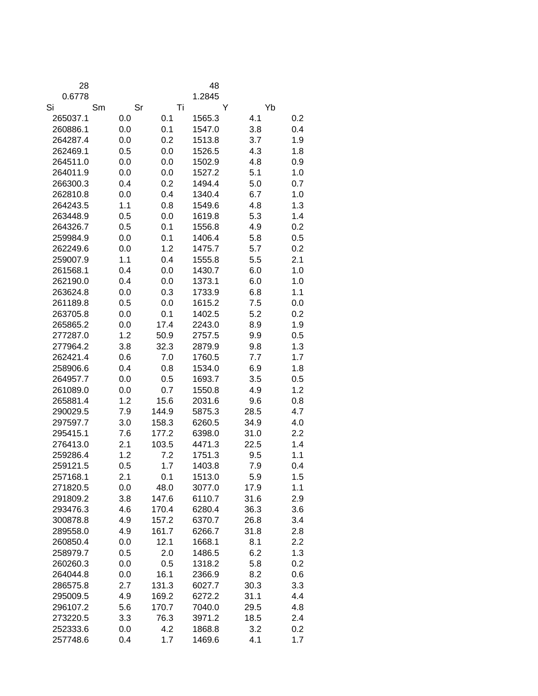| 28                   |            |                | 48               |              |            |  |  |
|----------------------|------------|----------------|------------------|--------------|------------|--|--|
| 0.6778               |            |                | 1.2845           |              |            |  |  |
| Si                   | Sm         | Sr             | Τi               | Y            | Yb         |  |  |
| 265037.1             | 0.0        | 0.1            | 1565.3           | 4.1          | 0.2        |  |  |
| 260886.1             | 0.0        | 0.1            | 1547.0           | 3.8          | 0.4        |  |  |
| 264287.4             | 0.0        | 0.2            | 1513.8           | 3.7          | 1.9        |  |  |
| 262469.1             | 0.5        | 0.0            | 1526.5           | 4.3          | 1.8        |  |  |
| 264511.0             | 0.0        | 0.0            | 1502.9           | 4.8          | 0.9        |  |  |
| 264011.9             | 0.0        | 0.0            | 1527.2           | 5.1          | 1.0        |  |  |
| 266300.3             | 0.4        | 0.2            | 1494.4           | 5.0          | 0.7        |  |  |
| 262810.8             | 0.0        | 0.4            | 1340.4           | 6.7          | 1.0        |  |  |
| 264243.5             | 1.1        | 0.8            | 1549.6           | 4.8          | 1.3        |  |  |
| 263448.9             | 0.5        | 0.0            | 1619.8           | 5.3          | 1.4        |  |  |
| 264326.7             | 0.5        | 0.1            | 1556.8           | 4.9          | 0.2        |  |  |
| 259984.9             | 0.0        | 0.1            | 1406.4           | 5.8          | 0.5        |  |  |
| 262249.6             | 0.0        | 1.2            | 1475.7           | 5.7          | 0.2        |  |  |
| 259007.9             | 1.1        | 0.4            | 1555.8           | 5.5          | 2.1        |  |  |
| 261568.1             | 0.4        | 0.0            | 1430.7           | 6.0          | 1.0        |  |  |
| 262190.0             | 0.4        | 0.0            | 1373.1           | 6.0          | 1.0        |  |  |
| 263624.8             | 0.0        | 0.3            | 1733.9           | 6.8          | 1.1        |  |  |
| 261189.8             | 0.5        | 0.0            | 1615.2           | 7.5          | 0.0        |  |  |
| 263705.8             | 0.0        | 0.1            | 1402.5           | 5.2          | 0.2        |  |  |
| 265865.2             | 0.0        | 17.4           | 2243.0           | 8.9          | 1.9        |  |  |
| 277287.0             | 1.2        | 50.9           | 2757.5           | 9.9          | 0.5        |  |  |
| 277964.2             | 3.8        | 32.3           | 2879.9           | 9.8          | 1.3        |  |  |
| 262421.4             | 0.6        | 7.0            | 1760.5           | 7.7          | 1.7        |  |  |
| 258906.6             | 0.4        | 0.8            | 1534.0           | 6.9          | 1.8        |  |  |
| 264957.7             | 0.0        | 0.5            | 1693.7           | 3.5          | 0.5        |  |  |
| 261089.0             | 0.0        | 0.7            | 1550.8           | 4.9          | 1.2        |  |  |
| 265881.4             | 1.2        | 15.6           | 2031.6           | 9.6          | 0.8        |  |  |
| 290029.5             | 7.9        | 144.9          | 5875.3           | 28.5         | 4.7        |  |  |
| 297597.7             | 3.0        | 158.3          | 6260.5           | 34.9         | 4.0        |  |  |
| 295415.1             | 7.6        | 177.2          | 6398.0           | 31.0         | 2.2        |  |  |
| 276413.0             | 2.1        | 103.5          | 4471.3           | 22.5         | 1.4        |  |  |
| 259286.4             | 1.2        | 7.2            | 1751.3           | 9.5          | 1.1        |  |  |
| 259121.5             | 0.5        | 1.7            | 1403.8           | 7.9          | 0.4        |  |  |
| 257168.1             | 2.1        | 0.1            | 1513.0           | 5.9          | 1.5        |  |  |
| 271820.5             | 0.0        | 48.0           | 3077.0           | 17.9         | 1.1        |  |  |
| 291809.2             | 3.8        | 147.6          | 6110.7           | 31.6         | 2.9        |  |  |
| 293476.3             | 4.6        | 170.4          | 6280.4           | 36.3         | 3.6        |  |  |
| 300878.8             | 4.9        | 157.2          | 6370.7           | 26.8         | 3.4        |  |  |
| 289558.0             | 4.9        | 161.7          | 6266.7           | 31.8         | 2.8        |  |  |
| 260850.4             | 0.0        | 12.1           | 1668.1           | 8.1          | 2.2        |  |  |
| 258979.7<br>260260.3 | 0.5        | 2.0            | 1486.5           | 6.2          | 1.3        |  |  |
|                      | 0.0        | 0.5            | 1318.2           | 5.8          | 0.2        |  |  |
| 264044.8             | 0.0        | 16.1           | 2366.9           | 8.2          | 0.6        |  |  |
| 286575.8<br>295009.5 | 2.7<br>4.9 | 131.3          | 6027.7           | 30.3<br>31.1 | 3.3<br>4.4 |  |  |
| 296107.2             | 5.6        | 169.2<br>170.7 | 6272.2<br>7040.0 | 29.5         | 4.8        |  |  |
| 273220.5             | 3.3        | 76.3           | 3971.2           | 18.5         | 2.4        |  |  |
| 252333.6             | 0.0        | 4.2            | 1868.8           | 3.2          | 0.2        |  |  |
| 257748.6             | 0.4        | 1.7            | 1469.6           | 4.1          | 1.7        |  |  |
|                      |            |                |                  |              |            |  |  |